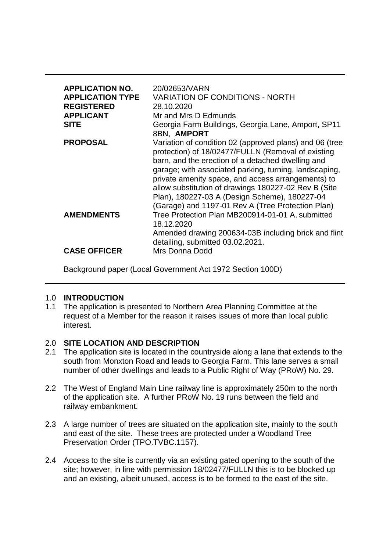| <b>APPLICATION NO.</b><br><b>APPLICATION TYPE</b><br><b>REGISTERED</b><br><b>APPLICANT</b><br><b>SITE</b> | 20/02653/VARN<br><b>VARIATION OF CONDITIONS - NORTH</b><br>28.10.2020<br>Mr and Mrs D Edmunds<br>Georgia Farm Buildings, Georgia Lane, Amport, SP11<br>8BN, AMPORT                                                                                                                                                                                                                                                                               |
|-----------------------------------------------------------------------------------------------------------|--------------------------------------------------------------------------------------------------------------------------------------------------------------------------------------------------------------------------------------------------------------------------------------------------------------------------------------------------------------------------------------------------------------------------------------------------|
| <b>PROPOSAL</b>                                                                                           | Variation of condition 02 (approved plans) and 06 (tree<br>protection) of 18/02477/FULLN (Removal of existing<br>barn, and the erection of a detached dwelling and<br>garage; with associated parking, turning, landscaping,<br>private amenity space, and access arrangements) to<br>allow substitution of drawings 180227-02 Rev B (Site<br>Plan), 180227-03 A (Design Scheme), 180227-04<br>(Garage) and 1197-01 Rev A (Tree Protection Plan) |
| <b>AMENDMENTS</b>                                                                                         | Tree Protection Plan MB200914-01-01 A, submitted<br>18.12.2020<br>Amended drawing 200634-03B including brick and flint                                                                                                                                                                                                                                                                                                                           |
| <b>CASE OFFICER</b>                                                                                       | detailing, submitted 03.02.2021.<br>Mrs Donna Dodd                                                                                                                                                                                                                                                                                                                                                                                               |

Background paper (Local Government Act 1972 Section 100D)

### 1.0 **INTRODUCTION**

1.1 The application is presented to Northern Area Planning Committee at the request of a Member for the reason it raises issues of more than local public interest.

# 2.0 **SITE LOCATION AND DESCRIPTION**

- 2.1 The application site is located in the countryside along a lane that extends to the south from Monxton Road and leads to Georgia Farm. This lane serves a small number of other dwellings and leads to a Public Right of Way (PRoW) No. 29.
- 2.2 The West of England Main Line railway line is approximately 250m to the north of the application site. A further PRoW No. 19 runs between the field and railway embankment.
- 2.3 A large number of trees are situated on the application site, mainly to the south and east of the site. These trees are protected under a Woodland Tree Preservation Order (TPO.TVBC.1157).
- 2.4 Access to the site is currently via an existing gated opening to the south of the site; however, in line with permission 18/02477/FULLN this is to be blocked up and an existing, albeit unused, access is to be formed to the east of the site.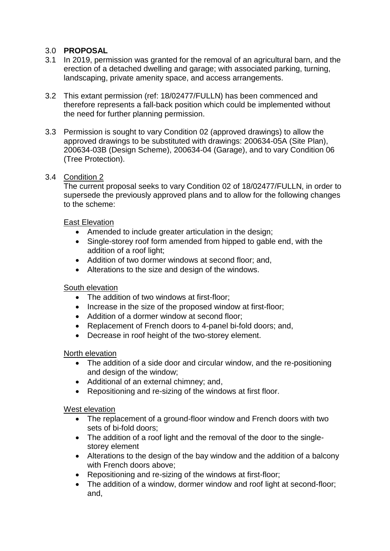# 3.0 **PROPOSAL**

- 3.1 In 2019, permission was granted for the removal of an agricultural barn, and the erection of a detached dwelling and garage; with associated parking, turning, landscaping, private amenity space, and access arrangements.
- 3.2 This extant permission (ref: 18/02477/FULLN) has been commenced and therefore represents a fall-back position which could be implemented without the need for further planning permission.
- 3.3 Permission is sought to vary Condition 02 (approved drawings) to allow the approved drawings to be substituted with drawings: 200634-05A (Site Plan), 200634-03B (Design Scheme), 200634-04 (Garage), and to vary Condition 06 (Tree Protection).

### 3.4 Condition 2

The current proposal seeks to vary Condition 02 of 18/02477/FULLN, in order to supersede the previously approved plans and to allow for the following changes to the scheme:

## East Elevation

- Amended to include greater articulation in the design;
- Single-storey roof form amended from hipped to gable end, with the addition of a roof light;
- Addition of two dormer windows at second floor; and,
- Alterations to the size and design of the windows.

## South elevation

- The addition of two windows at first-floor:
- Increase in the size of the proposed window at first-floor;
- Addition of a dormer window at second floor;
- Replacement of French doors to 4-panel bi-fold doors; and,
- Decrease in roof height of the two-storey element.

### North elevation

- The addition of a side door and circular window, and the re-positioning and design of the window;
- Additional of an external chimney; and,
- Repositioning and re-sizing of the windows at first floor.

### West elevation

- The replacement of a ground-floor window and French doors with two sets of bi-fold doors;
- The addition of a roof light and the removal of the door to the singlestorey element
- Alterations to the design of the bay window and the addition of a balcony with French doors above;
- Repositioning and re-sizing of the windows at first-floor;
- The addition of a window, dormer window and roof light at second-floor: and,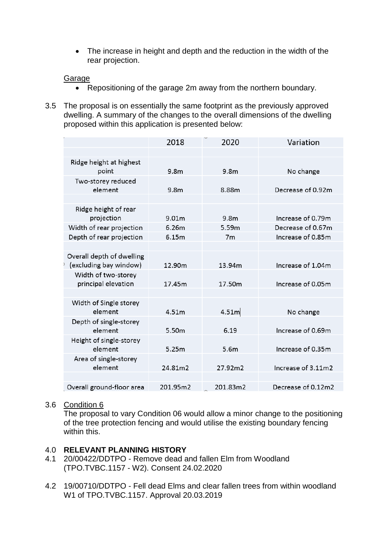The increase in height and depth and the reduction in the width of the rear projection.

### Garage

- Repositioning of the garage 2m away from the northern boundary.
- 3.5 The proposal is on essentially the same footprint as the previously approved dwelling. A summary of the changes to the overall dimensions of the dwelling proposed within this application is presented below:

|                           | 2018              | 2020              | Variation          |
|---------------------------|-------------------|-------------------|--------------------|
|                           |                   |                   |                    |
| Ridge height at highest   |                   |                   |                    |
| point                     | 9.8m              | 9.8m              | No change          |
| Two-storey reduced        |                   |                   |                    |
| element                   | 9.8 <sub>m</sub>  | 8.88m             | Decrease of 0.92m  |
|                           |                   |                   |                    |
| Ridge height of rear      |                   |                   |                    |
| projection                | 9.01m             | 9.8 <sub>m</sub>  | Increase of 0.79m  |
| Width of rear projection  | 6.26m             | 5.59m             | Decrease of 0.67m  |
| Depth of rear projection  | 6.15m             | 7 <sub>m</sub>    | Increase of 0.85m  |
|                           |                   |                   |                    |
| Overall depth of dwelling |                   |                   |                    |
| (excluding bay window)    | 12.90m            | 13.94m            | Increase of 1.04m  |
| Width of two-storey       |                   |                   |                    |
| principal elevation       | 17.45m            | 17.50m            | Increase of 0.05m  |
|                           |                   |                   |                    |
| Width of Single storey    |                   |                   |                    |
| element                   | 4.51m             | 4.51 <sub>m</sub> | No change          |
| Depth of single-storey    |                   |                   |                    |
| element                   | 5.50 <sub>m</sub> | 6.19              | Increase of 0.69m  |
| Height of single-storey   |                   |                   |                    |
| element                   | 5.25m             | 5.6m              | Increase of 0.35m  |
| Area of single-storey     |                   |                   |                    |
| element                   | 24.81m2           | 27.92m2           | Increase of 3.11m2 |
|                           |                   |                   |                    |
| Overall ground-floor area | 201.95m2          | 201.83m2          | Decrease of 0.12m2 |
|                           |                   |                   |                    |

## 3.6 Condition 6

The proposal to vary Condition 06 would allow a minor change to the positioning of the tree protection fencing and would utilise the existing boundary fencing within this.

### 4.0 **RELEVANT PLANNING HISTORY**

- 4.1 20/00422/DDTPO Remove dead and fallen Elm from Woodland (TPO.TVBC.1157 - W2). Consent 24.02.2020
- 4.2 19/00710/DDTPO Fell dead Elms and clear fallen trees from within woodland W1 of TPO.TVBC.1157. Approval 20.03.2019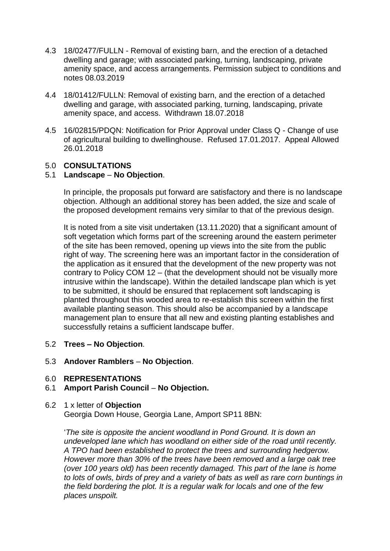- 4.3 18/02477/FULLN Removal of existing barn, and the erection of a detached dwelling and garage; with associated parking, turning, landscaping, private amenity space, and access arrangements. Permission subject to conditions and notes 08.03.2019
- 4.4 18/01412/FULLN: Removal of existing barn, and the erection of a detached dwelling and garage, with associated parking, turning, landscaping, private amenity space, and access. Withdrawn 18.07.2018
- 4.5 16/02815/PDQN: Notification for Prior Approval under Class Q Change of use of agricultural building to dwellinghouse. Refused 17.01.2017. Appeal Allowed 26.01.2018

## 5.0 **CONSULTATIONS**

## 5.1 **Landscape** – **No Objection**.

In principle, the proposals put forward are satisfactory and there is no landscape objection. Although an additional storey has been added, the size and scale of the proposed development remains very similar to that of the previous design.

It is noted from a site visit undertaken (13.11.2020) that a significant amount of soft vegetation which forms part of the screening around the eastern perimeter of the site has been removed, opening up views into the site from the public right of way. The screening here was an important factor in the consideration of the application as it ensured that the development of the new property was not contrary to Policy COM 12 – (that the development should not be visually more intrusive within the landscape). Within the detailed landscape plan which is yet to be submitted, it should be ensured that replacement soft landscaping is planted throughout this wooded area to re-establish this screen within the first available planting season. This should also be accompanied by a landscape management plan to ensure that all new and existing planting establishes and successfully retains a sufficient landscape buffer.

- 5.2 **Trees – No Objection**.
- 5.3 **Andover Ramblers No Objection**.
- 6.0 **REPRESENTATIONS**
- 6.1 **Amport Parish Council No Objection.**
- 6.2 1 x letter of **Objection**

Georgia Down House, Georgia Lane, Amport SP11 8BN:

'*The site is opposite the ancient woodland in Pond Ground. It is down an undeveloped lane which has woodland on either side of the road until recently. A TPO had been established to protect the trees and surrounding hedgerow. However more than 30% of the trees have been removed and a large oak tree (over 100 years old) has been recently damaged. This part of the lane is home to lots of owls, birds of prey and a variety of bats as well as rare corn buntings in the field bordering the plot. It is a regular walk for locals and one of the few places unspoilt.*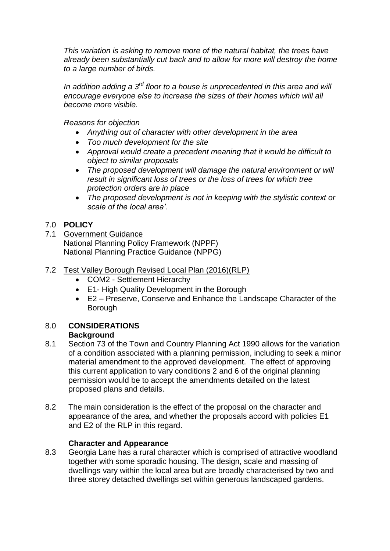*This variation is asking to remove more of the natural habitat, the trees have already been substantially cut back and to allow for more will destroy the home to a large number of birds.*

*In addition adding a 3rd floor to a house is unprecedented in this area and will encourage everyone else to increase the sizes of their homes which will all become more visible.*

*Reasons for objection*

- *Anything out of character with other development in the area*
- *Too much development for the site*
- *Approval would create a precedent meaning that it would be difficult to object to similar proposals*
- *The proposed development will damage the natural environment or will result in significant loss of trees or the loss of trees for which tree protection orders are in place*
- *The proposed development is not in keeping with the stylistic context or scale of the local area'.*

# 7.0 **POLICY**

- 7.1 Government Guidance National Planning Policy Framework (NPPF) National Planning Practice Guidance (NPPG)
- 7.2 Test Valley Borough Revised Local Plan (2016)(RLP)
	- COM2 Settlement Hierarchy
	- E1- High Quality Development in the Borough
	- E2 Preserve, Conserve and Enhance the Landscape Character of the Borough

#### 8.0 **CONSIDERATIONS Background**

- 8.1 Section 73 of the Town and Country Planning Act 1990 allows for the variation of a condition associated with a planning permission, including to seek a minor material amendment to the approved development. The effect of approving this current application to vary conditions 2 and 6 of the original planning permission would be to accept the amendments detailed on the latest proposed plans and details.
- 8.2 The main consideration is the effect of the proposal on the character and appearance of the area, and whether the proposals accord with policies E1 and E2 of the RLP in this regard.

### **Character and Appearance**

8.3 Georgia Lane has a rural character which is comprised of attractive woodland together with some sporadic housing. The design, scale and massing of dwellings vary within the local area but are broadly characterised by two and three storey detached dwellings set within generous landscaped gardens.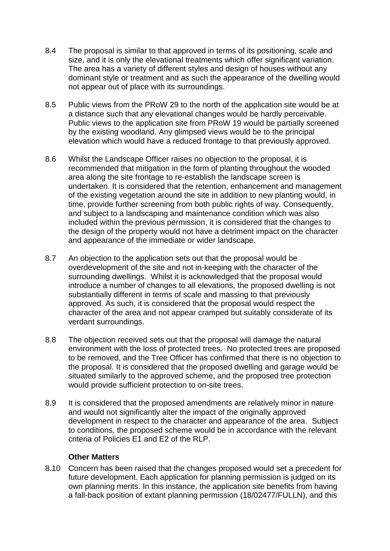- 8.4 The proposal is similar to that approved in terms of its positioning, scale and size, and it is only the elevational treatments which offer significant variation. The area has a variety of different styles and design of houses without any dominant style or treatment and as such the appearance of the dwelling would not appear out of place with its surroundings.
- 8.5 Public views from the PRoW 29 to the north of the application site would be at a distance such that any elevational changes would be hardly perceivable. Public views to the application site from PRoW 19 would be partially screened by the existing woodland. Any glimpsed views would be to the principal elevation which would have a reduced frontage to that previously approved.
- 8.6 Whilst the Landscape Officer raises no objection to the proposal, it is recommended that mitigation in the form of planting throughout the wooded area along the site frontage to re-establish the landscape screen is undertaken. It is considered that the retention, enhancement and management of the existing vegetation around the site in addition to new planting would, in time, provide further screening from both public rights of way. Consequently, and subject to a landscaping and maintenance condition which was also included within the previous permission, it is considered that the changes to the design of the property would not have a detriment impact on the character and appearance of the immediate or wider landscape.
- 8.7 An objection to the application sets out that the proposal would be overdevelopment of the site and not in-keeping with the character of the surrounding dwellings. Whilst it is acknowledged that the proposal would introduce a number of changes to all elevations, the proposed dwelling is not substantially different in terms of scale and massing to that previously approved. As such, it is considered that the proposal would respect the character of the area and not appear cramped but suitably considerate of its verdant surroundings.
- 8.8 The objection received sets out that the proposal will damage the natural environment with the loss of protected trees. No protected trees are proposed to be removed, and the Tree Officer has confirmed that there is no objection to the proposal. It is considered that the proposed dwelling and garage would be situated similarly to the approved scheme, and the proposed tree protection would provide sufficient protection to on-site trees.
- 8.9 It is considered that the proposed amendments are relatively minor in nature and would not significantly alter the impact of the originally approved development in respect to the character and appearance of the area. Subject to conditions, the proposed scheme would be in accordance with the relevant criteria of Policies E1 and E2 of the RLP.

### **Other Matters**

8.10 Concern has been raised that the changes proposed would set a precedent for future development. Each application for planning permission is judged on its own planning merits. In this instance, the application site benefits from having a fall-back position of extant planning permission (18/02477/FULLN), and this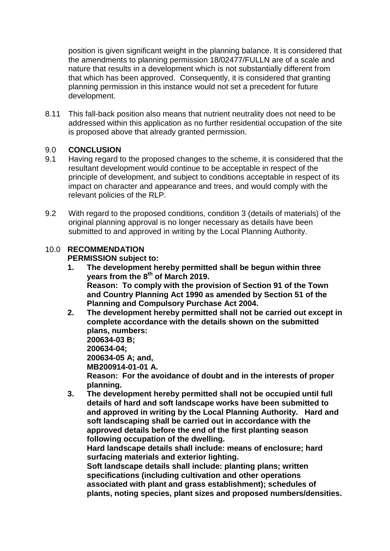position is given significant weight in the planning balance. It is considered that the amendments to planning permission 18/02477/FULLN are of a scale and nature that results in a development which is not substantially different from that which has been approved. Consequently, it is considered that granting planning permission in this instance would not set a precedent for future development.

8.11 This fall-back position also means that nutrient neutrality does not need to be addressed within this application as no further residential occupation of the site is proposed above that already granted permission.

# 9.0 **CONCLUSION**

- 9.1 Having regard to the proposed changes to the scheme, it is considered that the resultant development would continue to be acceptable in respect of the principle of development, and subject to conditions acceptable in respect of its impact on character and appearance and trees, and would comply with the relevant policies of the RLP.
- 9.2 With regard to the proposed conditions, condition 3 (details of materials) of the original planning approval is no longer necessary as details have been submitted to and approved in writing by the Local Planning Authority.

#### 10.0 **RECOMMENDATION PERMISSION subject to:**

- **1. The development hereby permitted shall be begun within three years from the 8 th of March 2019. Reason: To comply with the provision of Section 91 of the Town and Country Planning Act 1990 as amended by Section 51 of the Planning and Compulsory Purchase Act 2004.**
- **2. The development hereby permitted shall not be carried out except in complete accordance with the details shown on the submitted plans, numbers: 200634-03 B; 200634-04; 200634-05 A; and, MB200914-01-01 A. Reason: For the avoidance of doubt and in the interests of proper planning.**
- **3. The development hereby permitted shall not be occupied until full details of hard and soft landscape works have been submitted to and approved in writing by the Local Planning Authority. Hard and soft landscaping shall be carried out in accordance with the approved details before the end of the first planting season following occupation of the dwelling.**

**Hard landscape details shall include: means of enclosure; hard surfacing materials and exterior lighting.**

**Soft landscape details shall include: planting plans; written specifications (including cultivation and other operations associated with plant and grass establishment); schedules of plants, noting species, plant sizes and proposed numbers/densities.**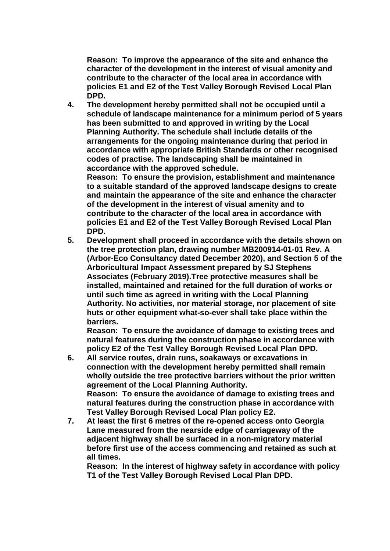**Reason: To improve the appearance of the site and enhance the character of the development in the interest of visual amenity and contribute to the character of the local area in accordance with policies E1 and E2 of the Test Valley Borough Revised Local Plan DPD.**

**4. The development hereby permitted shall not be occupied until a schedule of landscape maintenance for a minimum period of 5 years has been submitted to and approved in writing by the Local Planning Authority. The schedule shall include details of the arrangements for the ongoing maintenance during that period in accordance with appropriate British Standards or other recognised codes of practise. The landscaping shall be maintained in accordance with the approved schedule.**

**Reason: To ensure the provision, establishment and maintenance to a suitable standard of the approved landscape designs to create and maintain the appearance of the site and enhance the character of the development in the interest of visual amenity and to contribute to the character of the local area in accordance with policies E1 and E2 of the Test Valley Borough Revised Local Plan DPD.**

**5. Development shall proceed in accordance with the details shown on the tree protection plan, drawing number MB200914-01-01 Rev. A (Arbor-Eco Consultancy dated December 2020), and Section 5 of the Arboricultural Impact Assessment prepared by SJ Stephens Associates (February 2019).Tree protective measures shall be installed, maintained and retained for the full duration of works or until such time as agreed in writing with the Local Planning Authority. No activities, nor material storage, nor placement of site huts or other equipment what-so-ever shall take place within the barriers.** 

**Reason: To ensure the avoidance of damage to existing trees and natural features during the construction phase in accordance with policy E2 of the Test Valley Borough Revised Local Plan DPD.**

- **6. All service routes, drain runs, soakaways or excavations in connection with the development hereby permitted shall remain wholly outside the tree protective barriers without the prior written agreement of the Local Planning Authority. Reason: To ensure the avoidance of damage to existing trees and natural features during the construction phase in accordance with Test Valley Borough Revised Local Plan policy E2.**
- **7. At least the first 6 metres of the re-opened access onto Georgia Lane measured from the nearside edge of carriageway of the adjacent highway shall be surfaced in a non-migratory material before first use of the access commencing and retained as such at all times.**

**Reason: In the interest of highway safety in accordance with policy T1 of the Test Valley Borough Revised Local Plan DPD.**